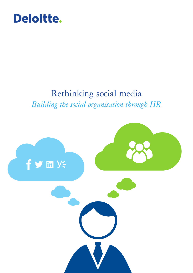

## Rethinking social media *Building the social organisation through HR*

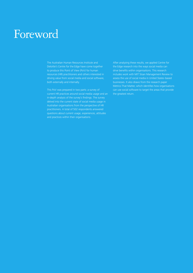## Foreword

The Australian Human Resources Institute and Deloitte's Centre for the Edge have come together to produce this Point of View (PoV) for human resources (HR) practitioners and others interested in driving value from social media and social software, both externally and internally.

This PoV was prepared in two parts: a survey of current HR practices around social media usage and an in-depth analysis of the survey's findings. The survey delved into the current state of social media usage in Australian organisations from the perspective of HR practitioners. A total of 502 respondents answered questions about current usage, experiences, attitudes and practices within their organisations.

After analysing these results, we applied Centre for the Edge research into the ways social media can drive benefits within organisations. This research includes work with MIT Sloan Management Review to assess the use of social media in United States–based businesses. It also draws from the research paper Metrics That Matter, which identifies how organisations can use social software to target the areas that provide the greatest return.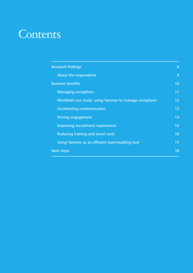## **Contents**

| <b>Research findings</b>                                | 6               |
|---------------------------------------------------------|-----------------|
| About the respondents                                   | 8               |
| <b>Business benefits</b>                                | 10              |
| <b>Managing exceptions</b>                              | 11              |
| Westfield case study: using Yammer to manage exceptions | 12 <sub>2</sub> |
| <b>Accelerating communication</b>                       | 13              |
| <b>Driving engagement</b>                               | 14              |
| Improving recruitment experiences                       | 15              |
| Reducing training and travel costs                      | 16              |
| Using Yammer as an efficient team-building tool         | 17              |
| <b>Next steps</b>                                       | 18              |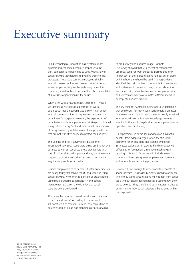## Executive summary

Rapid technological innovation has created a more dynamic and connected world. In response to this shift, companies are beginning to use a wide array of social software technologies to improve their internal processes. These tools connect employees, simplify internal knowledge flow and unleash returns through enhanced productivity. As this technological evolution continues, social tools will become the collaborative fabric of successful organisations in the future.

When used with a clear purpose, social tools – which we identify as internal social platforms as well as public social media networks (see below) – can enrich internal communications and greatly contribute to an organisation's prosperity. However, the experiences of organisations without a pronounced strategy or policy tell a very different story. Such indistinct initiatives are at risk of being derailed by isolated cases of inappropriate use that prompt restrictive policies to protect the business.

The Deloitte and AHRI survey of HR practitioners investigated how social tools were being used to achieve business outcomes. We asked these practitioners what sort of policies they had in place and why, and the results suggest that Australian businesses need to rethink the way they approach social media.

Despite being aware of its benefits, Australian businesses are nearly four years behind the US and Britain in using social software.<sup>1</sup> With only 25 per cent of organisations using social platforms to facilitate HR and people management practices, there is a risk that social tools are being overlooked.

This raises the question: How do Australian businesses think of social media? According to our research, most still don't see it as essential. Instead, companies tend to perceive social as an ad hoc branding platform or a risk to productivity and business image – or both. Our survey showed that 51 per cent of respondents use social tools for work purposes. Despite this, only 46 per cent of these organisations had policies in place defining how they should be used. The respondents identified the main barriers to use as a lack of awareness and understanding of social tools, concern about the associated risks, unresolved concerns over productivity, and uncertainty over how to match different media to appropriate business practices.

The key thing for Australian businesses to understand is that employees' familiarity with social media is an asset. As the workings of social media are now deeply ingrained in most workforces, this innate knowledge presents latent skills that could help businesses to improve internal operations and productivity.

HR departments in particular stand to reap substantial benefits from adopting organisation-specific social platforms for on-boarding and training employees. Businesses seeking better ways to handle unexpected difficulties, or 'exceptions', also have much to gain by using social tools. Other benefits include lower communication costs, greater employee engagement, and more efficient recruiting processes.

However, it isn't enough to understand the benefits of social software – Australian businesses need to articulate where they stand. Organisations will not gain from social tools without clearly defined policies outlining how they are to be used. They should also put measures in place to better monitor how social software is being used within the organisation.

1 'Social media uptake slow', Clare Kermond, The Age,  $8$  July 2011, www. theage.com.au/business/ social-media-uptake-slow-20110707-1h4o1.html.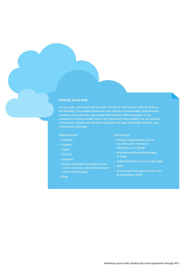#### **Defining social tools**

In many ways, social tools take the basic function of email to new levels of efficiency and flexibility. They enable quicker and more dynamic communication, both between businesses and customers, and among staff members within businesses. A key component of social software tools is the connections they establish. For the purposes of this report, Deloitte uses the term 'social tools' to cover both public networks and internal tools, including:

#### Public networks

- Facebook
- LinkedIn
- Twitter
- YouTube
- Instagram
- Product information and advice forums such as User Voice, Get Satisfaction and Lithium Social Support
- Blogs.

#### Internal tools

- $\cdot$  Internal social networks such as Jive, Microsoft's Yammer or Salesforce.com's Chatter
- Innovation platforms like Kindling or Spigit
- Application suites such as Google Apps
- • Wikis
- Social project management tools such as Basecamp or Trello.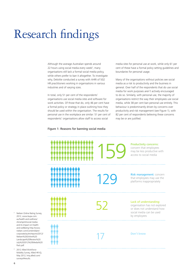# Research findings

Although the average Australian spends around 22 hours using social media every week<sup>2</sup>, many organisations still lack a formal social media policy, while others prefer to ban it altogether. To investigate why, Deloitte conducted a survey with AHRI of 502 HR practitioners working in organisations in various industries and of varying sizes.

In total, only 51 per cent of the respondents' organisations use social media sites and software for work activities. Of those that do, only 46 per cent have a formal policy or strategy in place outlining how they should be used within the organisation. The results for personal use in the workplace are similar: 51 per cent of respondents' organisations allow staff to access social

Figure 1: Reasons for banning social media

media sites for personal use at work, while only 61 per cent of these have a formal policy setting guidelines and boundaries for personal usage.

Many of the organisations without policies see social media as a risk to productivity and the business in general. Over half of the respondents that do use social media for work purposes aren't actively encouraged to do so. Similarly, with personal use, the majority of organisations restrict the way their employees use social media, while 38 per cent ban personal use entirely. This behaviour is predominantly driven by concerns over productivity and risk management (see Figure 1), with 82 per cent of respondents believing these concerns may be or are justified.



- 2 Neilsen Online Rating Survey, 2012, www.bupa.com. au/health-and-wellness/ shine/spirit/social-mediaand-its-impact-on-healthand-wellbeing http://www. nielsen.com/content/dam/ corporate/au/en/reports/2012/ Nielsen%20Online%20 Landscape%20Review%20 July%202012%20Media%20 Pack.pdf.
- 2012 Allied Workforce Mobility Survey, Allied HR IQ, May 2012, hriq.allied.com/ surveys/#results.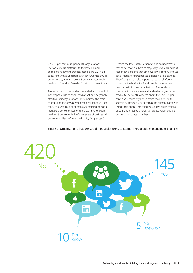Only 25 per cent of respondents' organisations use social media platforms to facilitate HR and people management practices (see Figure 2). This is consistent with a US report last year surveying 500 HR professionals, in which only 38 per cent rated social media as a 'good' or 'excellent' method of recruitment.<sup>3</sup>

Around a third of respondents reported an incident of inappropriate use of social media that had negatively affected their organisations. They indicate the main contributing factor was employee negligence (67 per cent), followed by lack of employee training on social media (39 per cent), lack of understanding of social media (38 per cent), lack of awareness of policies (32 per cent) and lack of a defined policy (31 per cent).

Despite the low uptake, organisations do understand that social tools are here to stay. Sixty-seven per cent of respondents believe that employees will continue to use social media for personal use despite it being banned. Sixty-four per cent also report that social platforms could positively affect HR and people management practices within their organisations. Respondents cited a lack of awareness and understanding of social media (65 per cent), concern about the risks (61 per cent) and uncertainty about which media to use for specific purposes (40 per cent) as the primary barriers to using social tools. These figures suggest organisations understand that social tools can create value, but are unsure how to integrate them.



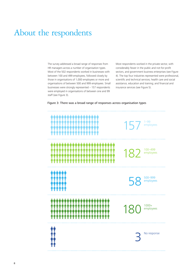### About the respondents

The survey addressed a broad range of responses from HR managers across a number of organisation types. Most of the 502 respondents worked in businesses with between 100 and 499 employees, followed closely by those in organisations of 1,000 employees or more and organisations of between 500 and 999 employees. Small businesses were strongly represented – 157 respondents were employed in organisations of between one and 99 staff (see Figure 3).

Most respondents worked in the private sector, with considerably fewer in the public and not-for-profit sectors, and government business enterprises (see Figure 4). The top four industries represented were professional, scientific and technical services; health care and social assistance, education and training; and financial and insurance services (see Figure 5).

Figure 3: There was a broad range of responses across organisation types

|                                                                                    | 1-99<br>employees<br>157    |
|------------------------------------------------------------------------------------|-----------------------------|
| <u>TTTTTTTTTTTTTTTTTTTTTT</u><br>ቝቝቝቝቝቝቝቝቝቝቝ<br>ኯ፟ኯ፟ኯ፟ኯ፟ኯ፟ኯ፞ኯ፞ኯ፞ኯ፞ኯ፞ኯ፞ኯ<br>ቀሳ<br>ተ | $182$ <sup>100-499</sup>    |
| IJЧ.<br><b>ጥጥጥጥጥ</b><br>ጥጥጥጥጥ                                                      | 500-999<br>employees<br>58  |
| <b>ۺۺٙۺۺۺۺۺۺۺۺۺۺۺۺۺۺۺۺ</b>                                                         | $1000+$<br>180<br>employees |
|                                                                                    | No response                 |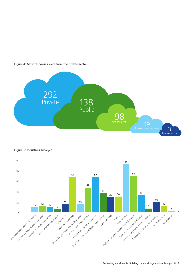

Figure 4: Most responses were from the private sector

Figure 5: Industries surveyed

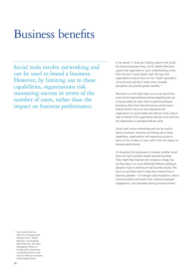# Business benefits

Social tools involve networking and can be used to brand a business. However, by limiting use to these capabilities, organisations risk measuring success in terms of the number of users, rather than the impact on business performance.

In her ebook *11 Rules for Creating Value in the Social Era* (Harvard Business Press, 2012), Nilofer Merchant argues that organisations' poor understanding comes from the term 'social media' itself. She says that organisations tend to focus on the 'media' association of social tools and don't realise that a broader perception can provide greater benefits. <sup>4</sup>

Merchant is on the right track; our survey found that most formal organisational policies regarding the use of social media for work refer to external employer branding rather than internal business performance. Policies tend to focus on who represents the organisation on social media sites (65 per cent), what is said on behalf of the organisation (64 per cent) and how the organisation is portrayed (66 per cent).

Social tools involve networking and can be used to brand a business. However, by limiting use to these capabilities, organisations risk measuring success in terms of the number of users, rather than the impact on business performance.

It's important for businesses to consider whether social tools will have a positive impact beyond branding. They might help maintain the company's image, but do they help it run more efficiently? Metrics relating to adoption have no bearing on real business results. The key is to use these tools in ways that improve how a business operates – to manage costly exceptions, reduce communications and travel costs, improve employee engagement, and rationalise training and recruitment.

4 'How Social Tools Can Help Your Company Avoid Strategic Failure', Nilofer Merchant, interviewed by Robert Berkman, MIT Sloan Management Review, 9 October 2012, sloanreview. mit.edu/feature/how-socialtools-can-help-your-companyavoid-strategic-failure/.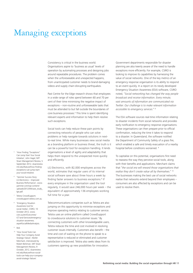### Managing exceptions

Consistency is critical in the business world. Organisations aspire to 'business as usual' levels of operation by automating processes and designing jobs around repeatable procedures. The problem comes when the unforeseeable and unexpected happens, from unanticipated customer needs to brand-damaging videos and supply chain-disrupting earthquakes.

Past Centre for the Edge research shows that employees in a wide range of roles spend between 60 and 70 per cent of their time minimising the negative impact of exceptions – non-routine and unforeseeable tasks that must be attended to but fall outside the boundaries of core business processes.<sup>5</sup> This time is spent identifying relevant experts and information to help them resolve such exceptions.

Social tools can help reduce these pain points by connecting networks of people who can solve problems or help navigate towards solutions in nextto-real time. While many businesses view social media as a branding platform or business threat, the truth is it can be a powerful tool for exception handling. It lends organisations a level of agility and adaptability that helps them respond to the unexpected more quickly and efficiently.

LG Electronics, with 82,000 employees across the world, estimates that regular users of its internal social software save about three hours a week by finding faster answers to business exceptions.<sup>6</sup> If every employee in the organisation used the tool regularly, it would save 246,000 hours per week – the equivalent of approximately 136 employees working full time for a year.

Telecommunications companies such as Telstra are also jumping on this opportunity to minimise exceptions and improve operating metrics relating to customer service. Telstra uses an online platform called CrowdSupport to crowdsource solutions to customer issues.<sup>7</sup> By connecting customers with other knowledgeable users, Telstra reduces the time and cost involved in resolving customer issues internally. Customers also benefit – the time and cost of waiting on the phone to speak to a representative is reduced or eliminated and customer satisfaction is improved. Telstra also seeks ideas from its customers opening up new possibilities for innovation.

Government departments responsible for disaster planning are also keenly aware of the need to handle exceptions more efficiently. For example, CSIRO is looking to improve its capabilities by harnessing the value of social networks. One of the key metrics of an emergency response organisation is its ability to respond to an event quickly. In a report on its newly developed Emergency Situation Awareness (ESA) software, CSIRO noted, "*Social networking has changed the way people broadcast and receive information. Every minute, vast amounts of information are communicated via Twitter. Our challenge is to make relevant information accessible to emergency services*." <sup>8</sup>

The ESA software sources real-time information relating to disaster incidents from social networks and provides early notification to emergency response organisations. These organisations can then prepare prior to official confirmation, reducing the time it takes to respond to a disaster. In Queensland, the software notified the Department of Community Safety of a grass fire, which enabled a safe and timely evacuation of a nearby hospital before conditions worsened. <sup>9</sup>

To capitalise on this potential, organisations first need to reassess the way they perceive social tools, along with their benefits and applications. Merchant claims that "*the social era will reward those organisations that realise they don't create value all by themselves*." <sup>10</sup> The businesses making the best use of social networks realise that networks extend beyond their employees – consumers are also affected by exceptions and can be used to resolve them.

- 5 'How Finding "Exceptions" Can Jump Start Your Social Initiative', John Hagel, MIT Sloan Management Review, 5 September 2012, sloanreview. mit.edu/feature/how-findingexceptions-can-jump-startyour-social-initiative.
- 6 'Yammer Success Story: LG Electronics – Improved Business Performance', www. yammer.com/wp-content/ uploads/2012/04/case\_study\_ lge.pdf.
- Telstra CrowdSupport; crowdsupport.telstra.com.au
- 8 'Emergency Situation Awareness tool for social media', CSIRO, 10 October 2012, www. csiro.au/en/Outcomes/ ICT-and-Services/emergencysituation-awareness. aspx#SocialMediaAnalysis.
- 9 **Ibid.**
- <sup>10</sup> 'How Social Tools Can Help Your Company Avoid Strategic Failure', Nilofer Merchant, interviewed by Robert Berkman, MIT Sloan Management Review, 9 October, 2012, sloanreview. mit.edu/feature/how-socialtools-can-help-your-companyavoid-strategic-failure/.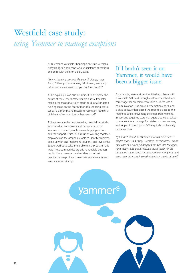## Westfield case study: *using Yammer to manage exceptions*

As Director of Westfield Shopping Centres in Australia, Andy Hodges is someone who understands exceptions and deals with them on a daily basis.

"*Every shopping centre is like a small village*," says Andy. "*When you are running 40 of them, every day brings some new issue that you couldn't predict*."

As he explains, it can also be difficult to anticipate the nature of these issues. Whether it's a serial fraudster making the most of a stolen credit card, or a kangaroo running loose on the fourth floor of a shopping centre car park, a prompt and successful resolution requires a high level of communication between staff.

To help manage the unforeseeable, Westfield Australia introduced an enterprise social network based on Yammer to connect people across shopping centres and the Support Office. As a result of working together, employees on the ground are able to identify problems, come up with and implement solutions, and involve the Support Office to solve the problem in a programmatic way. These communities are driving tangible business results. Store managers and retailers share best practices, solve problems, celebrate achievements and even share security tips.

#### If I hadn't seen it on Yammer, it would have been a bigger issue

For example, several stores identified a problem with a Westfield Gift Card through customer feedback and came together on Yammer to solve it. There was a communication issue around redemption codes, and a physical issue that placed the code too close to the magnetic stripe, preventing the stripe from working. By working together, store managers created a revised communications package for retailers and consumers, and looped in the Support Office quickly to physically relocate codes.

"*If I hadn't seen it on Yammer, it would have been a bigger issue*," said Andy. "*Because I saw it there, I could take care of it quickly (I dragged the GM into the office right away!) and get it resolved much faster for the people on the ground. Without Yammer, I may not have even seen this issue; it saved at least six weeks of pain*."

**Yammer**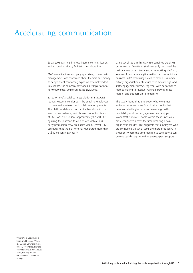### Accelerating communication

Social tools can help improve internal communications and aid productivity by facilitating collaboration.

EMC, a multinational company specialising in information management, was concerned about the time and money its people spent contracting expensive external vendors. In response, the company developed a test platform for its 40,000 global employees called EMC/ONE.

Based on Jive's social business platform, EMC/ONE reduces external vendor costs by enabling employees to more easily network and collaborate on projects. The platform delivered substantial benefits within a year. In one instance, an in-house production team at EMC was able to save approximately US\$10,000 by using the platform to collaborate with a thirdparty production crew on a sales video. Overall, EMC estimates that the platform has generated more than US\$40 million in savings.<sup>11</sup>

Using social tools in this way also benefited Deloitte's performance. Deloitte Australia recently measured the holistic value of its internal social networking platform, Yammer. It ran data analytics methods across individual business units' email usage, calls to mobiles, Yammer activity, organisational structure, web activity logs, and staff engagement surveys, together with performance metrics relating to revenue, revenue growth, gross margin, and business unit profitability.

The study found that employees who were most active on Yammer came from business units that demonstrated higher levels of revenue growth, profitability and staff engagement, and enjoyed lower staff turnover. People within these units were more connected across the firm, breaking down organisational silos. This suggests that employees who are connected via social tools are more productive in situations where the time required to seek advice can be reduced through real-time peer-to-peer support.

<sup>11</sup> What's Your Social Media Strategy', H. James Wilson, P.J. Guinan, Salvatore Parise, Bruce D. Weinberg, Harvard Business Review, July/August 2011, hbr.org/2011/07/ whats-your-social-mediastrategy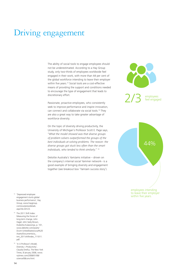### Driving engagement

The ability of social tools to engage employees should not be underestimated. According to a Hay Group study, only two-thirds of employees worldwide feel engaged in their work, with more than 44 per cent of the global workforce intending to leave their employer within five years.<sup>12</sup> Social tools are a cost-effective means of providing the support and conditions needed to encourage the type of engagement that leads to discretionary effort.

Passionate, proactive employees, who consistently seek to improve performance and inspire innovation, can connect and collaborate via social tools.<sup>13</sup> They are also a great way to take greater advantage of workforce diversity.

On the topic of diversity driving productivity, the University of Michigan's Professor Scott E. Page says, "*What the model showed was that diverse groups of problem solvers outperformed the groups of the best individuals at solving problems. The reason: the diverse groups got stuck less often than the smart individuals, who tended to think similarly*." <sup>14</sup>

Deloitte Australia's YamJams initiative – driven on the company's internal social Yammer network– is a good example of bringing diversity and engagement together (see breakout box 'YamJam success story').



employees<br>feel engaged



- <sup>12</sup> 'Depressed employee engagement stunts global business performance', Hay Group, www.haygroup. com/ww/press/details. aspx?id=34123.
- <sup>13</sup> The 2011 Shift Index: Measuring the forces of long-term change, John Hagel, John Seely Brown, Duleesha Kulasooriya, p. 101, www.deloitte.com/assets/ Dcom-UnitedStates/Local%20 Assets/Documents/us\_ tmt\_2011shiftindex\_111011. pdf.
- <sup>14</sup> 'In A Professor's Model, Diversity = Productivity', Claudia Dreifus, The New York Times, 8 January 2008, www. nytimes.com/2008/01/08/ science/08conv.html.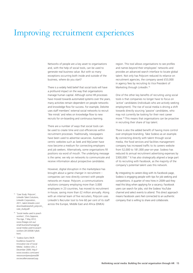### Improving recruitment experiences

Networks of people are a key asset to organisations and, with the help of social tools, can be used to generate real business value. But with so many exceptions occurring both inside and outside of the business, where do you start?

There is a widely held belief that social tools will have a profound impact on the way that organisations manage human capital. Although some HR processes have moved towards automated systems over the years, many activities remain dependent on people networks and knowledge flow for success. For example, Deloitte uses staff members' external social networks to recruit 'like minds' and relies on knowledge flow to new recruits for on-boarding and continuous learning.

There are a number of ways that social tools can be used to create time and cost efficiencies within recruitment processes. Traditionally, newspapers have been used to advertise vacancies. Australiacentric websites such as Seek and MyCareer have now become a medium for connecting employers and job seekers. Alternatively, some organisations fill positions via word of mouth. The underlying message is the same; we rely on networks to communicate and receive information about prospective candidates.

However, digital disruption in the marketplace has brought about a game changer in recruitment – companies can now directly connect with people networks en masse. Polycom, a communications solutions company employing more than 3,000 employees in 23 countries, has moved its recruitment in-house, saving more than £2 million annually. Along with an internal team of five recruiters, Polycom uses LinkedIn's Recruiter tool to hire 60 per cent of its staff across the Europe, Middle East and Africa (EMEA)

region. This tool allows organisations to see profiles and names beyond their employees' networks and provides an advanced search interface to locate global talent. Not only has Polycom reduced its reliance on recruitment agencies, the company saved £53,000 in agency fees by recruiting its Vice President of Marketing through LinkedIn.<sup>15</sup>

One of the other key benefits of recruiting using social tools is that companies no longer have to focus on 'active' candidates (individuals who are actively seeking employment). The rise of social media is driving a shift towards directly sourcing 'passive' candidates, who may not currently be looking for their next career move.<sup>16</sup> This means that organisations can be proactive in recruiting their share of top talent.

There is also the added benefit of having more control over employee branding. Take Sodexo as an example. By connecting directly with talent through social media, the food services and facilities management company has increased traffic to its careers website from 52,000 to 181,000 year-on-year. Sodexo has reduced its annual recruitment advertising expenses by \$300,000.<sup>17</sup> It has also strategically aligned a large part of its recruiting with Facebook, as the majority of the company's potential talent uses this network.

By integrating its careers blog with its Facebook page, Sodexo is engaging people with tips for job seeking and competitions. A quarter of new hires in 2009 said they read this blog when applying for a vacancy. Facebook users can search for jobs, visit the Sodexo YouTube channel and select events to attend. This direct approach means Facebook users feel connected to an authentic company that is willing to share and collaborate.

- <sup>15</sup> 'Case Study: Polycom', LinkedIn Talent Solutions, LinkedIn Corporation, 2011, talent.linkedin.com/ downloads/assets/li\_polycom\_ case\_study.pdf.
- <sup>16</sup> 'Social media used to poach workers', Chris Zappone, The Age, 7 May 2012, www.theage.com.au/ small-business/managing/ social-media-used-to-poachworkers-20120506-1y6z0. html.
- <sup>17</sup> 'Sodexo Earns SNCR Excellence Award for Innovative Use of Social Media', Sodexo USA, 2 December 2009, http:// www.woodco.com/usen/ newsroom/press/press09/ sncrexcellenceaward.asp.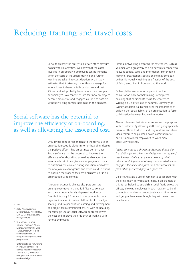### Reducing training and travel costs

Social tools have the ability to alleviate other pressure points with HR activities. We know that the costs involved in on-boarding employees can be immense when the costs of induction, training and further learning are taken into consideration. A US study estimates that it takes eight months on average for an employee to become fully productive and that 23 per cent will probably leave before their one-year anniversary.<sup>19</sup> How can we ensure that new employees become productive and engaged as soon as possible, without inflicting considerable cost on the business?

#### Social software has the potential to improve the efficiency of on-boarding, as well as alleviating the associated cost.

Only 19 per cent of respondents to the survey use an organisation-specific platform for on-boarding, despite the positive effect it has on business performance. Social software has the potential to improve the efficiency of on-boarding, as well as alleviating the associated cost. It can give new employees answers to questions not covered during induction, and allow them to join relevant groups and extensive discussions to position the work of their own business unit in an organisation-wide context.

A tougher economic climate also puts pressure on employee travel, making it difficult to connect and train a geographically dispersed workforce. Despite this, only 27 per cent of respondents use an organisation-specific online platform for knowledge sharing, and 24 per cent for learning and development and project team communications. As with on-boarding, the strategic use of social software tools can lower the cost and improve the efficiency of working with remote employees.

#### Internal networking platforms for enterprises, such as Yammer, are a great way to help new hires connect to relevant people, tools and information. For ongoing learning, organisation-specific online platforms can deliver high-quality training at a fraction of the cost of flying executives in from around the world.

Online platforms can also help continue the conversation once formal training is completed, ensuring that participants revisit the content.<sup>20</sup> Writing on Deloitte's use of Yammer, University of Sydney academic Kai Riemer cites the importance of building the 'social fabric' of an organisation to foster collaboration between knowledge workers.

Riemer observes that Yammer serves such a purpose within Deloitte. By allowing staff from geographically discrete offices to discuss industry matters and share ideas, Yammer helps break down communicative barriers and allows employees to work more effectively together.

"*What emerges is a shared background that is the foundation for all other knowledge work to happen*," says Riemer. "*Only if people are aware of what others are doing and what they are interested in can they post the relevant information that provides the foundation for serendipity to happen*."<sup>21</sup>

Deloitte Australia's use of Yammer to collaborate with the firm's team in Hyderabad, India, is an example of this. It has helped to establish a social fabric across the offices, allowing employees in each location to build connections and work productively across time zones and geographies, even though they will never meet face to face.

#### <sup>18</sup> Ibid.

<sup>19</sup> 2012 Allied Workforce Mobility Survey, Allied HR IQ, May 2012, hriq.allied.com/ surveys/#results.

- <sup>20</sup> 'Use Yammer In Your Training Programs', Allison Michels, Yammer The Blog, 15 November 2011, blog. yammer.com/blog/2011/11/ use-yammer-in-your-trainingprograms.html.
- <sup>21</sup> 'Enterprise Social Networking in Knowledge Work', Kai Riemer, Backed By Research, 19 May 2012, byresearch. wordpress.com/2012/05/19/ esn-knowledge/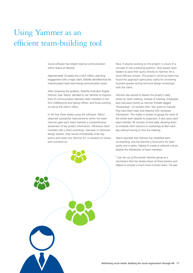### Using Yammer as an efficient team-building tool

Social software has helped improve communication within teams at Deloitte.

Approximately 10 weeks into a \$4.5 million, year-long engagement with a major client, Deloitte identified that the internal project team was having communication issues.

After reviewing the problem, Deloitte Australia's Digital Director, Esan Tabrizi, decided to use Yammer to improve lines of communication between team members in the firm's Melbourne and Sydney offices, and those working on-site at the client's office.

In the first three weeks using the software, Tabrizi observed substantial improvements within the team. Yammer gave each team member a comprehensive awareness of key project information. Whenever team members left a client workshop, interview or technical design session, they would immediately enter key points and notes into Yammer for co-workers to review and comment on.

Now, if anyone working on the project is unsure of a concept or has a pressing question, they bypass team leaders to post their query directly to Yammer for a more efficient answer. The project's technical team has found this approach particularly useful for answering business queries during technical design workshops with the client.

Yammer also served to replace the project's daily ' stand up' team meeting. Instead of meeting, employees post discussion points as Yammer threads tagged '#cxstandup'. Co-workers then 'like' posts to indicate they have been read, and respond with necessary information. This makes it simpler to gauge the work of the whole team despite its dispersion. It also saves each team member 30 minutes of time daily, allowing them to schedule client sessions or workshops at 9am each day without having to miss the meeting.

Tabrizi reported that Yammer has simplified team on-boarding, and has become a focal point for team quirks and in-jokes, helping to create a cohesive culture, despite the distribution of team members.

"*I see the use of the private Yammer group as a mechanism that has broken down all these barriers and helped us achieve a much more inclusive team*," he said.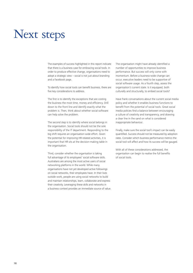## Next steps

The examples of success highlighted in this report indicate that there is a business case for embracing social tools. In order to produce effective change, organisations need to adopt a strategic view – social is not just about branding and a Facebook page.

To identify how social tools can benefit business, there are five key considerations to address.

The first is to identify the exceptions that are costing the business the most time, money and efficiency. Drill down to the front line and identify exactly what the problem is. Then, think about whether social software can help solve the problem.

The second step is to identify where social belongs in the organisation. Social tools should not be the sole responsibility of the IT department. Responding to the big shift requires an organisation-wide effort. Given the potential for improving HR-related activities, it is important that HR sits at the decision-making table in the organisation.

Third, consider whether the organisation is taking full advantage of its employees' social software skills. Australians are among the most active users of social networking platforms in the world. While many organisations have not yet developed active followings on social networks, their employees have. In their lives outside work, people are using social networks to build and maintain relationships, learn, collaborate and express their creativity. Leveraging these skills and networks in a business context provides an immediate source of value. The organisation might have already identified a number of opportunities to improve business performance. But success will only come with momentum. Before a business-wide change can occur, executive leaders need to be supportive of social software usage. As a fourth step, assess the organisation's current state. Is it equipped, both culturally and structurally, to embed social tools?

Have frank conversations about the current social media policy and whether it enables business functions to benefit from the potential of social tools. Great social media policies find a balance between encouraging a culture of creativity and transparency, and drawing a clear line in the sand on what is considered inappropriate behaviour.

Finally, make sure the social tool's impact can be easily quantified. Success should not be measured by adoption rates. Consider which business performance metrics the social tool will affect and how its success will be gauged.

With all of these considerations addressed, the organisation can begin to realise the full benefits of social tools.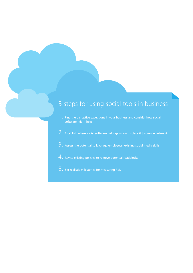#### 5 steps for using social tools in business

- 1. Find the disruptive exceptions in your business and consider how social software might help
- 2. Establish where social software belongs don't isolate it to one department
- 3. Assess the potential to leverage employees' existing social media skills
- 4. Revise existing policies to remove potential roadblocks
- 5. Set realistic milestones for measuring RoI.